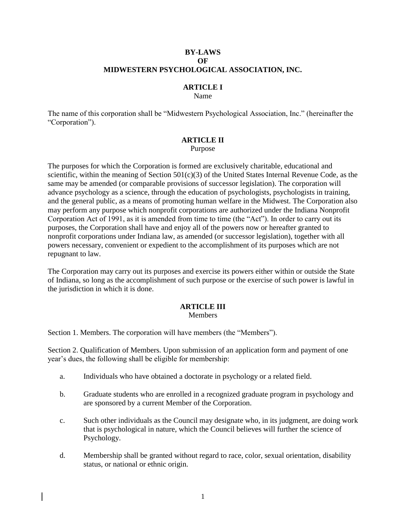### **BY-LAWS OF MIDWESTERN PSYCHOLOGICAL ASSOCIATION, INC.**

## **ARTICLE I**

#### Name

The name of this corporation shall be "Midwestern Psychological Association, Inc." (hereinafter the "Corporation").

### **ARTICLE II**

Purpose

The purposes for which the Corporation is formed are exclusively charitable, educational and scientific, within the meaning of Section  $501(c)(3)$  of the United States Internal Revenue Code, as the same may be amended (or comparable provisions of successor legislation). The corporation will advance psychology as a science, through the education of psychologists, psychologists in training, and the general public, as a means of promoting human welfare in the Midwest. The Corporation also may perform any purpose which nonprofit corporations are authorized under the Indiana Nonprofit Corporation Act of 1991, as it is amended from time to time (the "Act"). In order to carry out its purposes, the Corporation shall have and enjoy all of the powers now or hereafter granted to nonprofit corporations under Indiana law, as amended (or successor legislation), together with all powers necessary, convenient or expedient to the accomplishment of its purposes which are not repugnant to law.

The Corporation may carry out its purposes and exercise its powers either within or outside the State of Indiana, so long as the accomplishment of such purpose or the exercise of such power is lawful in the jurisdiction in which it is done.

# **ARTICLE III**

### Members

Section 1. Members. The corporation will have members (the "Members").

Section 2. Qualification of Members. Upon submission of an application form and payment of one year's dues, the following shall be eligible for membership:

- a. Individuals who have obtained a doctorate in psychology or a related field.
- b. Graduate students who are enrolled in a recognized graduate program in psychology and are sponsored by a current Member of the Corporation.
- c. Such other individuals as the Council may designate who, in its judgment, are doing work that is psychological in nature, which the Council believes will further the science of Psychology.
- d. Membership shall be granted without regard to race, color, sexual orientation, disability status, or national or ethnic origin.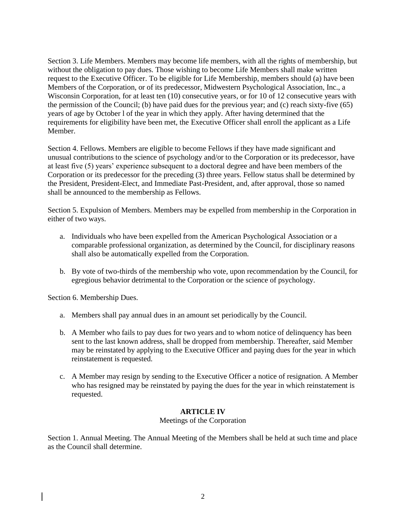Section 3. Life Members. Members may become life members, with all the rights of membership, but without the obligation to pay dues. Those wishing to become Life Members shall make written request to the Executive Officer. To be eligible for Life Membership, members should (a) have been Members of the Corporation, or of its predecessor, Midwestern Psychological Association, Inc., a Wisconsin Corporation, for at least ten (10) consecutive years, or for 10 of 12 consecutive years with the permission of the Council; (b) have paid dues for the previous year; and (c) reach sixty-five (65) years of age by October l of the year in which they apply. After having determined that the requirements for eligibility have been met, the Executive Officer shall enroll the applicant as a Life Member.

Section 4. Fellows. Members are eligible to become Fellows if they have made significant and unusual contributions to the science of psychology and/or to the Corporation or its predecessor, have at least five (5) years' experience subsequent to a doctoral degree and have been members of the Corporation or its predecessor for the preceding (3) three years. Fellow status shall be determined by the President, President-Elect, and Immediate Past-President, and, after approval, those so named shall be announced to the membership as Fellows.

Section 5. Expulsion of Members. Members may be expelled from membership in the Corporation in either of two ways.

- a. Individuals who have been expelled from the American Psychological Association or a comparable professional organization, as determined by the Council, for disciplinary reasons shall also be automatically expelled from the Corporation.
- b. By vote of two-thirds of the membership who vote, upon recommendation by the Council, for egregious behavior detrimental to the Corporation or the science of psychology.

Section 6. Membership Dues.

- a. Members shall pay annual dues in an amount set periodically by the Council.
- b. A Member who fails to pay dues for two years and to whom notice of delinquency has been sent to the last known address, shall be dropped from membership. Thereafter, said Member may be reinstated by applying to the Executive Officer and paying dues for the year in which reinstatement is requested.
- c. A Member may resign by sending to the Executive Officer a notice of resignation. A Member who has resigned may be reinstated by paying the dues for the year in which reinstatement is requested.

### **ARTICLE IV**

### Meetings of the Corporation

Section 1. Annual Meeting. The Annual Meeting of the Members shall be held at such time and place as the Council shall determine.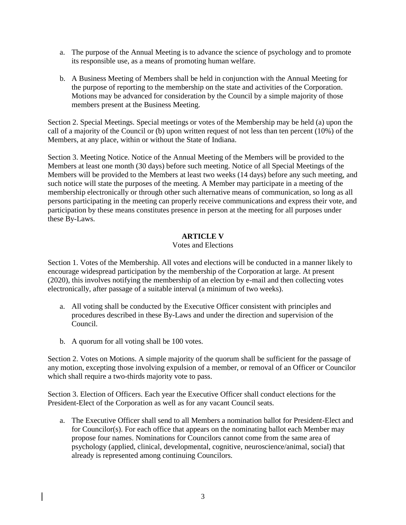- a. The purpose of the Annual Meeting is to advance the science of psychology and to promote its responsible use, as a means of promoting human welfare.
- b. A Business Meeting of Members shall be held in conjunction with the Annual Meeting for the purpose of reporting to the membership on the state and activities of the Corporation. Motions may be advanced for consideration by the Council by a simple majority of those members present at the Business Meeting.

Section 2. Special Meetings. Special meetings or votes of the Membership may be held (a) upon the call of a majority of the Council or (b) upon written request of not less than ten percent (10%) of the Members, at any place, within or without the State of Indiana.

Section 3. Meeting Notice. Notice of the Annual Meeting of the Members will be provided to the Members at least one month (30 days) before such meeting. Notice of all Special Meetings of the Members will be provided to the Members at least two weeks (14 days) before any such meeting, and such notice will state the purposes of the meeting. A Member may participate in a meeting of the membership electronically or through other such alternative means of communication, so long as all persons participating in the meeting can properly receive communications and express their vote, and participation by these means constitutes presence in person at the meeting for all purposes under these By-Laws.

### **ARTICLE V**

### Votes and Elections

Section 1. Votes of the Membership. All votes and elections will be conducted in a manner likely to encourage widespread participation by the membership of the Corporation at large. At present (2020), this involves notifying the membership of an election by e-mail and then collecting votes electronically, after passage of a suitable interval (a minimum of two weeks).

- a. All voting shall be conducted by the Executive Officer consistent with principles and procedures described in these By-Laws and under the direction and supervision of the Council.
- b. A quorum for all voting shall be 100 votes.

Section 2. Votes on Motions. A simple majority of the quorum shall be sufficient for the passage of any motion, excepting those involving expulsion of a member, or removal of an Officer or Councilor which shall require a two-thirds majority vote to pass.

Section 3. Election of Officers. Each year the Executive Officer shall conduct elections for the President-Elect of the Corporation as well as for any vacant Council seats.

a. The Executive Officer shall send to all Members a nomination ballot for President-Elect and for Councilor(s). For each office that appears on the nominating ballot each Member may propose four names. Nominations for Councilors cannot come from the same area of psychology (applied, clinical, developmental, cognitive, neuroscience/animal, social) that already is represented among continuing Councilors.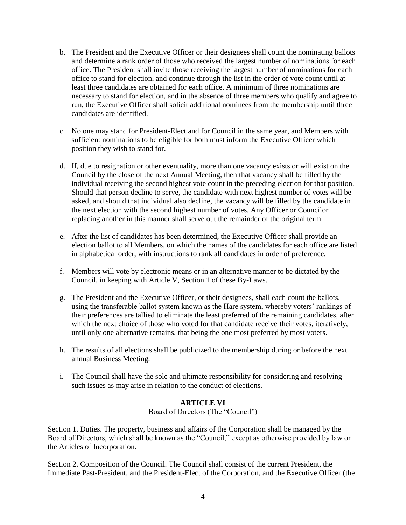- b. The President and the Executive Officer or their designees shall count the nominating ballots and determine a rank order of those who received the largest number of nominations for each office. The President shall invite those receiving the largest number of nominations for each office to stand for election, and continue through the list in the order of vote count until at least three candidates are obtained for each office. A minimum of three nominations are necessary to stand for election, and in the absence of three members who qualify and agree to run, the Executive Officer shall solicit additional nominees from the membership until three candidates are identified.
- c. No one may stand for President-Elect and for Council in the same year, and Members with sufficient nominations to be eligible for both must inform the Executive Officer which position they wish to stand for.
- d. If, due to resignation or other eventuality, more than one vacancy exists or will exist on the Council by the close of the next Annual Meeting, then that vacancy shall be filled by the individual receiving the second highest vote count in the preceding election for that position. Should that person decline to serve, the candidate with next highest number of votes will be asked, and should that individual also decline, the vacancy will be filled by the candidate in the next election with the second highest number of votes. Any Officer or Councilor replacing another in this manner shall serve out the remainder of the original term.
- e. After the list of candidates has been determined, the Executive Officer shall provide an election ballot to all Members, on which the names of the candidates for each office are listed in alphabetical order, with instructions to rank all candidates in order of preference.
- f. Members will vote by electronic means or in an alternative manner to be dictated by the Council, in keeping with Article V, Section 1 of these By-Laws.
- g. The President and the Executive Officer, or their designees, shall each count the ballots, using the transferable ballot system known as the Hare system, whereby voters' rankings of their preferences are tallied to eliminate the least preferred of the remaining candidates, after which the next choice of those who voted for that candidate receive their votes, iteratively, until only one alternative remains, that being the one most preferred by most voters.
- h. The results of all elections shall be publicized to the membership during or before the next annual Business Meeting.
- i. The Council shall have the sole and ultimate responsibility for considering and resolving such issues as may arise in relation to the conduct of elections.

### **ARTICLE VI**

Board of Directors (The "Council")

Section 1. Duties. The property, business and affairs of the Corporation shall be managed by the Board of Directors, which shall be known as the "Council," except as otherwise provided by law or the Articles of Incorporation.

Section 2. Composition of the Council. The Council shall consist of the current President, the Immediate Past-President, and the President-Elect of the Corporation, and the Executive Officer (the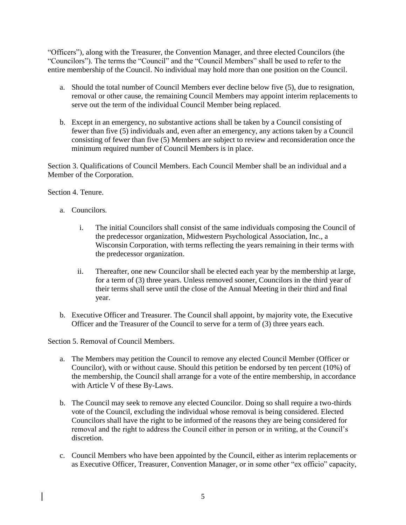"Officers"), along with the Treasurer, the Convention Manager, and three elected Councilors (the "Councilors"). The terms the "Council" and the "Council Members" shall be used to refer to the entire membership of the Council. No individual may hold more than one position on the Council.

- a. Should the total number of Council Members ever decline below five (5), due to resignation, removal or other cause, the remaining Council Members may appoint interim replacements to serve out the term of the individual Council Member being replaced.
- b. Except in an emergency, no substantive actions shall be taken by a Council consisting of fewer than five (5) individuals and, even after an emergency, any actions taken by a Council consisting of fewer than five (5) Members are subject to review and reconsideration once the minimum required number of Council Members is in place.

Section 3. Qualifications of Council Members. Each Council Member shall be an individual and a Member of the Corporation.

Section 4. Tenure.

- a. Councilors.
	- i. The initial Councilors shall consist of the same individuals composing the Council of the predecessor organization, Midwestern Psychological Association, Inc., a Wisconsin Corporation, with terms reflecting the years remaining in their terms with the predecessor organization.
	- ii. Thereafter, one new Councilor shall be elected each year by the membership at large, for a term of (3) three years. Unless removed sooner, Councilors in the third year of their terms shall serve until the close of the Annual Meeting in their third and final year.
- b. Executive Officer and Treasurer. The Council shall appoint, by majority vote, the Executive Officer and the Treasurer of the Council to serve for a term of (3) three years each.

Section 5. Removal of Council Members.

- a. The Members may petition the Council to remove any elected Council Member (Officer or Councilor), with or without cause. Should this petition be endorsed by ten percent (10%) of the membership, the Council shall arrange for a vote of the entire membership, in accordance with Article V of these By-Laws.
- b. The Council may seek to remove any elected Councilor. Doing so shall require a two-thirds vote of the Council, excluding the individual whose removal is being considered. Elected Councilors shall have the right to be informed of the reasons they are being considered for removal and the right to address the Council either in person or in writing, at the Council's discretion.
- c. Council Members who have been appointed by the Council, either as interim replacements or as Executive Officer, Treasurer, Convention Manager, or in some other "ex officio" capacity,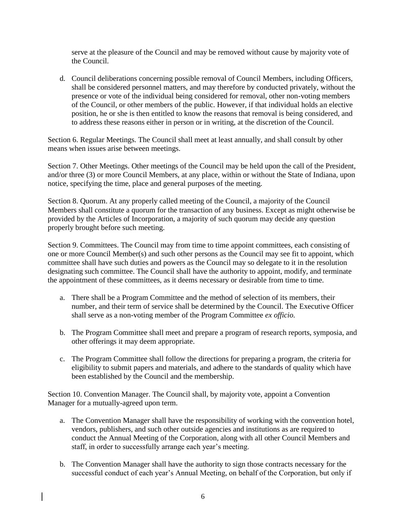serve at the pleasure of the Council and may be removed without cause by majority vote of the Council.

d. Council deliberations concerning possible removal of Council Members, including Officers, shall be considered personnel matters, and may therefore by conducted privately, without the presence or vote of the individual being considered for removal, other non-voting members of the Council, or other members of the public. However, if that individual holds an elective position, he or she is then entitled to know the reasons that removal is being considered, and to address these reasons either in person or in writing, at the discretion of the Council.

Section 6. Regular Meetings. The Council shall meet at least annually, and shall consult by other means when issues arise between meetings.

Section 7. Other Meetings. Other meetings of the Council may be held upon the call of the President, and/or three (3) or more Council Members, at any place, within or without the State of Indiana, upon notice, specifying the time, place and general purposes of the meeting.

Section 8. Quorum. At any properly called meeting of the Council, a majority of the Council Members shall constitute a quorum for the transaction of any business. Except as might otherwise be provided by the Articles of Incorporation, a majority of such quorum may decide any question properly brought before such meeting.

Section 9. Committees. The Council may from time to time appoint committees, each consisting of one or more Council Member(s) and such other persons as the Council may see fit to appoint, which committee shall have such duties and powers as the Council may so delegate to it in the resolution designating such committee. The Council shall have the authority to appoint, modify, and terminate the appointment of these committees, as it deems necessary or desirable from time to time.

- a. There shall be a Program Committee and the method of selection of its members, their number, and their term of service shall be determined by the Council. The Executive Officer shall serve as a non-voting member of the Program Committee *ex officio.*
- b. The Program Committee shall meet and prepare a program of research reports, symposia, and other offerings it may deem appropriate.
- c. The Program Committee shall follow the directions for preparing a program, the criteria for eligibility to submit papers and materials, and adhere to the standards of quality which have been established by the Council and the membership.

Section 10. Convention Manager. The Council shall, by majority vote, appoint a Convention Manager for a mutually-agreed upon term.

- a. The Convention Manager shall have the responsibility of working with the convention hotel, vendors, publishers, and such other outside agencies and institutions as are required to conduct the Annual Meeting of the Corporation, along with all other Council Members and staff, in order to successfully arrange each year's meeting.
- b. The Convention Manager shall have the authority to sign those contracts necessary for the successful conduct of each year's Annual Meeting, on behalf of the Corporation, but only if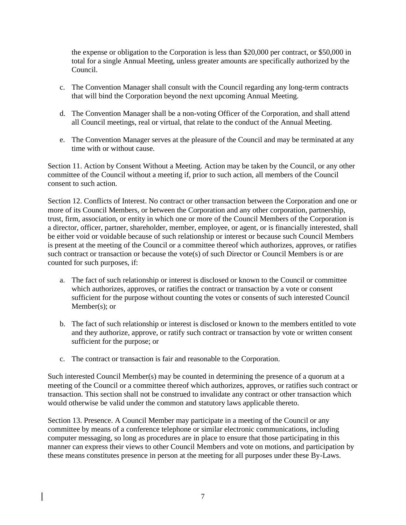the expense or obligation to the Corporation is less than \$20,000 per contract, or \$50,000 in total for a single Annual Meeting, unless greater amounts are specifically authorized by the Council.

- c. The Convention Manager shall consult with the Council regarding any long-term contracts that will bind the Corporation beyond the next upcoming Annual Meeting.
- d. The Convention Manager shall be a non-voting Officer of the Corporation, and shall attend all Council meetings, real or virtual, that relate to the conduct of the Annual Meeting.
- e. The Convention Manager serves at the pleasure of the Council and may be terminated at any time with or without cause.

Section 11. Action by Consent Without a Meeting. Action may be taken by the Council, or any other committee of the Council without a meeting if, prior to such action, all members of the Council consent to such action.

Section 12. Conflicts of Interest. No contract or other transaction between the Corporation and one or more of its Council Members, or between the Corporation and any other corporation, partnership, trust, firm, association, or entity in which one or more of the Council Members of the Corporation is a director, officer, partner, shareholder, member, employee, or agent, or is financially interested, shall be either void or voidable because of such relationship or interest or because such Council Members is present at the meeting of the Council or a committee thereof which authorizes, approves, or ratifies such contract or transaction or because the vote(s) of such Director or Council Members is or are counted for such purposes, if:

- a. The fact of such relationship or interest is disclosed or known to the Council or committee which authorizes, approves, or ratifies the contract or transaction by a vote or consent sufficient for the purpose without counting the votes or consents of such interested Council Member(s); or
- b. The fact of such relationship or interest is disclosed or known to the members entitled to vote and they authorize, approve, or ratify such contract or transaction by vote or written consent sufficient for the purpose; or
- c. The contract or transaction is fair and reasonable to the Corporation.

Such interested Council Member(s) may be counted in determining the presence of a quorum at a meeting of the Council or a committee thereof which authorizes, approves, or ratifies such contract or transaction. This section shall not be construed to invalidate any contract or other transaction which would otherwise be valid under the common and statutory laws applicable thereto.

Section 13. Presence. A Council Member may participate in a meeting of the Council or any committee by means of a conference telephone or similar electronic communications, including computer messaging, so long as procedures are in place to ensure that those participating in this manner can express their views to other Council Members and vote on motions, and participation by these means constitutes presence in person at the meeting for all purposes under these By-Laws.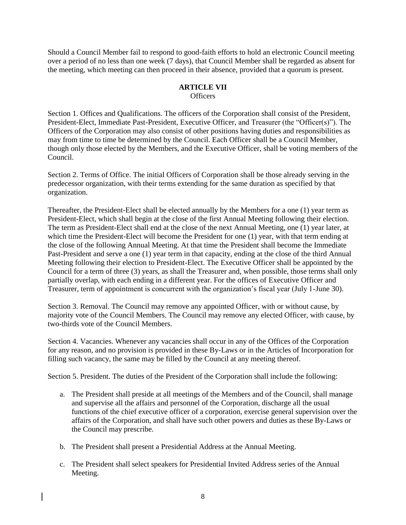Should a Council Member fail to respond to good-faith efforts to hold an electronic Council meeting over a period of no less than one week (7 days), that Council Member shall be regarded as absent for the meeting, which meeting can then proceed in their absence, provided that a quorum is present.

#### **ARTICLE VII Officers**

Section 1. Offices and Qualifications. The officers of the Corporation shall consist of the President, President-Elect, Immediate Past-President, Executive Officer, and Treasurer (the "Officer(s)"). The Officers of the Corporation may also consist of other positions having duties and responsibilities as may from time to time be determined by the Council. Each Officer shall be a Council Member, though only those elected by the Members, and the Executive Officer, shall be voting members of the Council.

Section 2. Terms of Office. The initial Officers of Corporation shall be those already serving in the predecessor organization, with their terms extending for the same duration as specified by that organization.

Thereafter, the President-Elect shall be elected annually by the Members for a one (1) year term as President-Elect, which shall begin at the close of the first Annual Meeting following their election. The term as President-Elect shall end at the close of the next Annual Meeting, one (1) year later, at which time the President-Elect will become the President for one (1) year, with that term ending at the close of the following Annual Meeting. At that time the President shall become the Immediate Past-President and serve a one (1) year term in that capacity, ending at the close of the third Annual Meeting following their election to President-Elect. The Executive Officer shall be appointed by the Council for a term of three (3) years, as shall the Treasurer and, when possible, those terms shall only partially overlap, with each ending in a different year. For the offices of Executive Officer and Treasurer, term of appointment is concurrent with the organization's fiscal year (July 1-June 30).

Section 3. Removal. The Council may remove any appointed Officer, with or without cause, by majority vote of the Council Members. The Council may remove any elected Officer, with cause, by two-thirds vote of the Council Members.

Section 4. Vacancies. Whenever any vacancies shall occur in any of the Offices of the Corporation for any reason, and no provision is provided in these By-Laws or in the Articles of Incorporation for filling such vacancy, the same may be filled by the Council at any meeting thereof.

Section 5. President. The duties of the President of the Corporation shall include the following:

- a. The President shall preside at all meetings of the Members and of the Council, shall manage and supervise all the affairs and personnel of the Corporation, discharge all the usual functions of the chief executive officer of a corporation, exercise general supervision over the affairs of the Corporation, and shall have such other powers and duties as these By-Laws or the Council may prescribe.
- b. The President shall present a Presidential Address at the Annual Meeting.
- c. The President shall select speakers for Presidential Invited Address series of the Annual Meeting.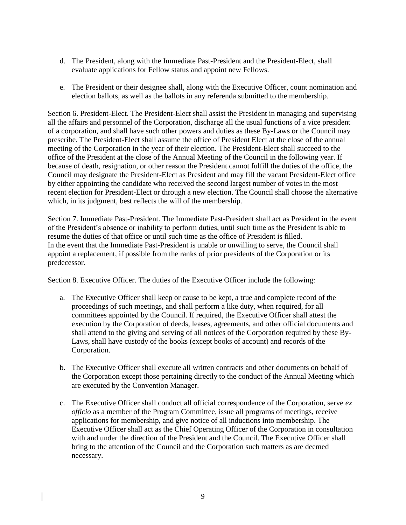- d. The President, along with the Immediate Past-President and the President-Elect, shall evaluate applications for Fellow status and appoint new Fellows.
- e. The President or their designee shall, along with the Executive Officer, count nomination and election ballots, as well as the ballots in any referenda submitted to the membership.

Section 6. President-Elect. The President-Elect shall assist the President in managing and supervising all the affairs and personnel of the Corporation, discharge all the usual functions of a vice president of a corporation, and shall have such other powers and duties as these By-Laws or the Council may prescribe. The President-Elect shall assume the office of President Elect at the close of the annual meeting of the Corporation in the year of their election. The President-Elect shall succeed to the office of the President at the close of the Annual Meeting of the Council in the following year. If because of death, resignation, or other reason the President cannot fulfill the duties of the office, the Council may designate the President-Elect as President and may fill the vacant President-Elect office by either appointing the candidate who received the second largest number of votes in the most recent election for President-Elect or through a new election. The Council shall choose the alternative which, in its judgment, best reflects the will of the membership.

Section 7. Immediate Past-President. The Immediate Past-President shall act as President in the event of the President's absence or inability to perform duties, until such time as the President is able to resume the duties of that office or until such time as the office of President is filled. In the event that the Immediate Past-President is unable or unwilling to serve, the Council shall appoint a replacement, if possible from the ranks of prior presidents of the Corporation or its predecessor.

Section 8. Executive Officer. The duties of the Executive Officer include the following:

- a. The Executive Officer shall keep or cause to be kept, a true and complete record of the proceedings of such meetings, and shall perform a like duty, when required, for all committees appointed by the Council. If required, the Executive Officer shall attest the execution by the Corporation of deeds, leases, agreements, and other official documents and shall attend to the giving and serving of all notices of the Corporation required by these By-Laws, shall have custody of the books (except books of account) and records of the Corporation.
- b. The Executive Officer shall execute all written contracts and other documents on behalf of the Corporation except those pertaining directly to the conduct of the Annual Meeting which are executed by the Convention Manager.
- c. The Executive Officer shall conduct all official correspondence of the Corporation, serve *ex officio* as a member of the Program Committee, issue all programs of meetings, receive applications for membership, and give notice of all inductions into membership. The Executive Officer shall act as the Chief Operating Officer of the Corporation in consultation with and under the direction of the President and the Council. The Executive Officer shall bring to the attention of the Council and the Corporation such matters as are deemed necessary.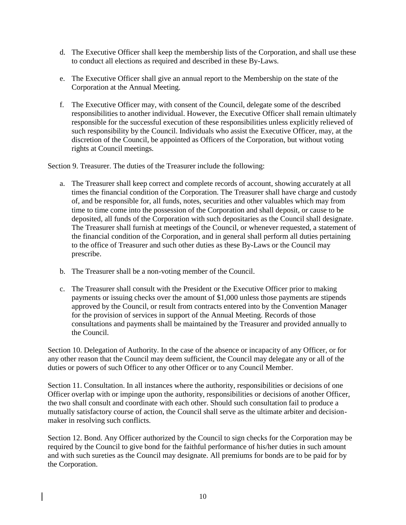- d. The Executive Officer shall keep the membership lists of the Corporation, and shall use these to conduct all elections as required and described in these By-Laws.
- e. The Executive Officer shall give an annual report to the Membership on the state of the Corporation at the Annual Meeting.
- f. The Executive Officer may, with consent of the Council, delegate some of the described responsibilities to another individual. However, the Executive Officer shall remain ultimately responsible for the successful execution of these responsibilities unless explicitly relieved of such responsibility by the Council. Individuals who assist the Executive Officer, may, at the discretion of the Council, be appointed as Officers of the Corporation, but without voting rights at Council meetings.

Section 9. Treasurer. The duties of the Treasurer include the following:

- a. The Treasurer shall keep correct and complete records of account, showing accurately at all times the financial condition of the Corporation. The Treasurer shall have charge and custody of, and be responsible for, all funds, notes, securities and other valuables which may from time to time come into the possession of the Corporation and shall deposit, or cause to be deposited, all funds of the Corporation with such depositaries as the Council shall designate. The Treasurer shall furnish at meetings of the Council, or whenever requested, a statement of the financial condition of the Corporation, and in general shall perform all duties pertaining to the office of Treasurer and such other duties as these By-Laws or the Council may prescribe.
- b. The Treasurer shall be a non-voting member of the Council.
- c. The Treasurer shall consult with the President or the Executive Officer prior to making payments or issuing checks over the amount of \$1,000 unless those payments are stipends approved by the Council, or result from contracts entered into by the Convention Manager for the provision of services in support of the Annual Meeting. Records of those consultations and payments shall be maintained by the Treasurer and provided annually to the Council.

Section 10. Delegation of Authority. In the case of the absence or incapacity of any Officer, or for any other reason that the Council may deem sufficient, the Council may delegate any or all of the duties or powers of such Officer to any other Officer or to any Council Member.

Section 11. Consultation. In all instances where the authority, responsibilities or decisions of one Officer overlap with or impinge upon the authority, responsibilities or decisions of another Officer, the two shall consult and coordinate with each other. Should such consultation fail to produce a mutually satisfactory course of action, the Council shall serve as the ultimate arbiter and decisionmaker in resolving such conflicts.

Section 12. Bond. Any Officer authorized by the Council to sign checks for the Corporation may be required by the Council to give bond for the faithful performance of his/her duties in such amount and with such sureties as the Council may designate. All premiums for bonds are to be paid for by the Corporation.